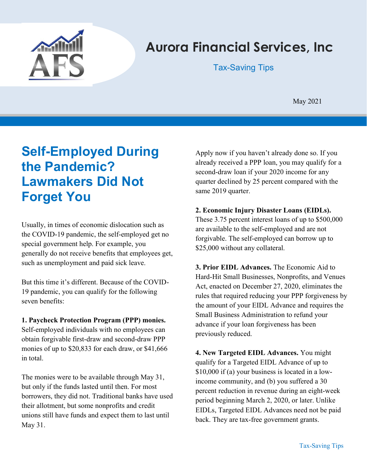

# Aurora Financial Services, Inc

Tax-Saving Tips

May 2021

# Self-Employed During the Pandemic? Lawmakers Did Not Forget You

Usually, in times of economic dislocation such as the COVID-19 pandemic, the self-employed get no special government help. For example, you generally do not receive benefits that employees get, such as unemployment and paid sick leave.

But this time it's different. Because of the COVID-19 pandemic, you can qualify for the following seven benefits:

#### 1. Paycheck Protection Program (PPP) monies. Self-employed individuals with no employees can obtain forgivable first-draw and second-draw PPP monies of up to \$20,833 for each draw, or \$41,666 in total.

The monies were to be available through May 31, but only if the funds lasted until then. For most borrowers, they did not. Traditional banks have used their allotment, but some nonprofits and credit unions still have funds and expect them to last until May 31.

Apply now if you haven't already done so. If you already received a PPP loan, you may qualify for a second-draw loan if your 2020 income for any quarter declined by 25 percent compared with the same 2019 quarter.

#### 2. Economic Injury Disaster Loans (EIDLs).

These 3.75 percent interest loans of up to \$500,000 are available to the self-employed and are not forgivable. The self-employed can borrow up to \$25,000 without any collateral.

3. Prior EIDL Advances. The Economic Aid to Hard-Hit Small Businesses, Nonprofits, and Venues Act, enacted on December 27, 2020, eliminates the rules that required reducing your PPP forgiveness by the amount of your EIDL Advance and requires the Small Business Administration to refund your advance if your loan forgiveness has been previously reduced.

4. New Targeted EIDL Advances. You might qualify for a Targeted EIDL Advance of up to \$10,000 if (a) your business is located in a lowincome community, and (b) you suffered a 30 percent reduction in revenue during an eight-week period beginning March 2, 2020, or later. Unlike EIDLs, Targeted EIDL Advances need not be paid back. They are tax-free government grants.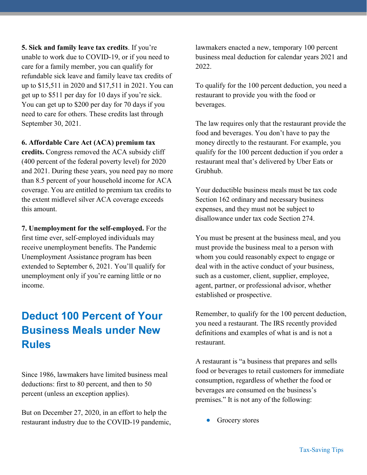5. Sick and family leave tax credits. If you're unable to work due to COVID-19, or if you need to care for a family member, you can qualify for refundable sick leave and family leave tax credits of up to \$15,511 in 2020 and \$17,511 in 2021. You can get up to \$511 per day for 10 days if you're sick. You can get up to \$200 per day for 70 days if you need to care for others. These credits last through September 30, 2021.

#### 6. Affordable Care Act (ACA) premium tax

credits. Congress removed the ACA subsidy cliff (400 percent of the federal poverty level) for 2020 and 2021. During these years, you need pay no more than 8.5 percent of your household income for ACA coverage. You are entitled to premium tax credits to the extent midlevel silver ACA coverage exceeds this amount.

7. Unemployment for the self-employed. For the first time ever, self-employed individuals may receive unemployment benefits. The Pandemic Unemployment Assistance program has been extended to September 6, 2021. You'll qualify for unemployment only if you're earning little or no income.

## Deduct 100 Percent of Your Business Meals under New Rules

Since 1986, lawmakers have limited business meal deductions: first to 80 percent, and then to 50 percent (unless an exception applies).

But on December 27, 2020, in an effort to help the restaurant industry due to the COVID-19 pandemic, lawmakers enacted a new, temporary 100 percent business meal deduction for calendar years 2021 and 2022.

To qualify for the 100 percent deduction, you need a restaurant to provide you with the food or beverages.

The law requires only that the restaurant provide the food and beverages. You don't have to pay the money directly to the restaurant. For example, you qualify for the 100 percent deduction if you order a restaurant meal that's delivered by Uber Eats or Grubhub.

Your deductible business meals must be tax code Section 162 ordinary and necessary business expenses, and they must not be subject to disallowance under tax code Section 274.

You must be present at the business meal, and you must provide the business meal to a person with whom you could reasonably expect to engage or deal with in the active conduct of your business, such as a customer, client, supplier, employee, agent, partner, or professional advisor, whether established or prospective.

Remember, to qualify for the 100 percent deduction, you need a restaurant. The IRS recently provided definitions and examples of what is and is not a restaurant.

A restaurant is "a business that prepares and sells food or beverages to retail customers for immediate consumption, regardless of whether the food or beverages are consumed on the business's premises." It is not any of the following:

Grocery stores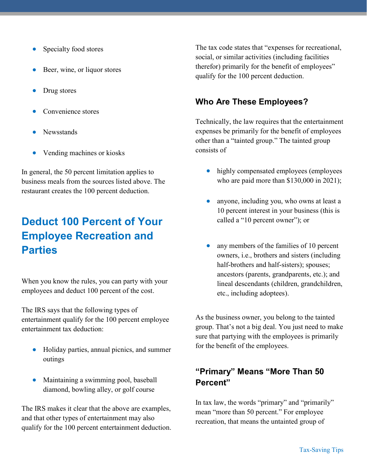- Specialty food stores
- Beer, wine, or liquor stores
- Drug stores
- Convenience stores
- Newsstands
- Vending machines or kiosks

In general, the 50 percent limitation applies to business meals from the sources listed above. The restaurant creates the 100 percent deduction.

# Deduct 100 Percent of Your Employee Recreation and Parties

When you know the rules, you can party with your employees and deduct 100 percent of the cost.

The IRS says that the following types of entertainment qualify for the 100 percent employee entertainment tax deduction:

- Holiday parties, annual picnics, and summer outings
- Maintaining a swimming pool, baseball diamond, bowling alley, or golf course

The IRS makes it clear that the above are examples, and that other types of entertainment may also qualify for the 100 percent entertainment deduction. The tax code states that "expenses for recreational, social, or similar activities (including facilities therefor) primarily for the benefit of employees" qualify for the 100 percent deduction.

### Who Are These Employees?

Technically, the law requires that the entertainment expenses be primarily for the benefit of employees other than a "tainted group." The tainted group consists of

- highly compensated employees (employees who are paid more than \$130,000 in 2021);
- anyone, including you, who owns at least a 10 percent interest in your business (this is called a "10 percent owner"); or
- any members of the families of 10 percent owners, i.e., brothers and sisters (including half-brothers and half-sisters); spouses; ancestors (parents, grandparents, etc.); and lineal descendants (children, grandchildren, etc., including adoptees).

As the business owner, you belong to the tainted group. That's not a big deal. You just need to make sure that partying with the employees is primarily for the benefit of the employees.

## "Primary" Means "More Than 50 Percent"

In tax law, the words "primary" and "primarily" mean "more than 50 percent." For employee recreation, that means the untainted group of